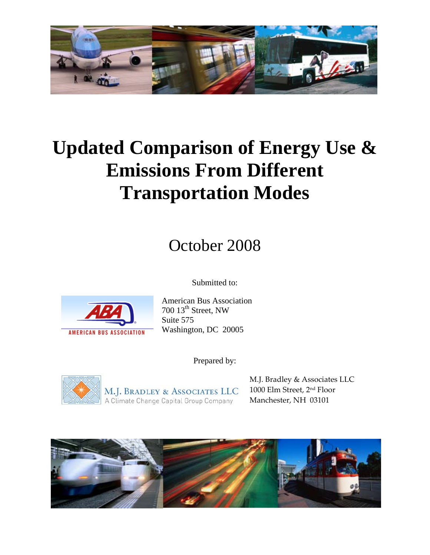

# **Updated Comparison of Energy Use & Emissions From Different Transportation Modes**

# October 2008

Submitted to:



American Bus Association 700 13<sup>th</sup> Street, NW Suite 575 Washington, DC 20005

Prepared by:



M.J. BRADLEY & ASSOCIATES LLC<br>A Climate Change Capital Group Company

M.J. Bradley & Associates LLC 1000 Elm Street, 2nd Floor Manchester, NH 03101

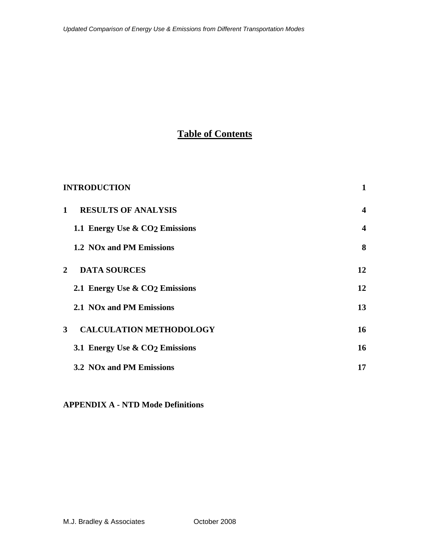# **Table of Contents**

|              | <b>INTRODUCTION</b>                        | 1                |
|--------------|--------------------------------------------|------------------|
| $\mathbf{1}$ | <b>RESULTS OF ANALYSIS</b>                 | $\boldsymbol{4}$ |
|              | 1.1 Energy Use & CO <sub>2</sub> Emissions | $\boldsymbol{4}$ |
|              | 1.2 NO <sub>x</sub> and PM Emissions       | 8                |
| $\mathbf{2}$ | <b>DATA SOURCES</b>                        | 12               |
|              | 2.1 Energy Use & CO <sub>2</sub> Emissions | 12               |
|              | 2.1 NO <sub>x</sub> and PM Emissions       | 13               |
| $3^{\circ}$  | <b>CALCULATION METHODOLOGY</b>             | 16               |
|              | 3.1 Energy Use & CO <sub>2</sub> Emissions | 16               |
|              | 3.2 NO <sub>x</sub> and PM Emissions       | 17               |

## **APPENDIX A - NTD Mode Definitions**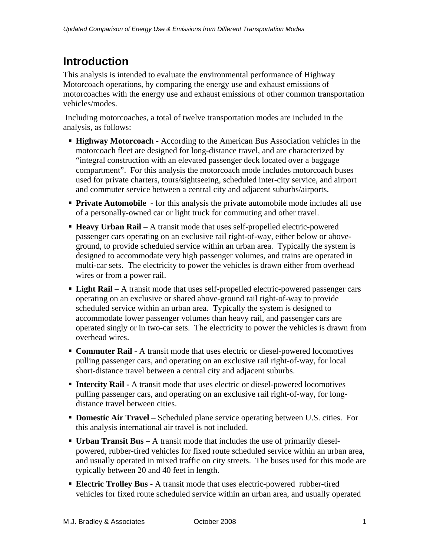# **Introduction**

This analysis is intended to evaluate the environmental performance of Highway Motorcoach operations, by comparing the energy use and exhaust emissions of motorcoaches with the energy use and exhaust emissions of other common transportation vehicles/modes.

 Including motorcoaches, a total of twelve transportation modes are included in the analysis, as follows:

- **Highway Motorcoach** According to the American Bus Association vehicles in the motorcoach fleet are designed for long-distance travel, and are characterized by "integral construction with an elevated passenger deck located over a baggage compartment". For this analysis the motorcoach mode includes motorcoach buses used for private charters, tours/sightseeing, scheduled inter-city service, and airport and commuter service between a central city and adjacent suburbs/airports.
- **Private Automobile** for this analysis the private automobile mode includes all use of a personally-owned car or light truck for commuting and other travel.
- **Heavy Urban Rail** A transit mode that uses self-propelled electric-powered passenger cars operating on an exclusive rail right-of-way, either below or aboveground, to provide scheduled service within an urban area. Typically the system is designed to accommodate very high passenger volumes, and trains are operated in multi-car sets. The electricity to power the vehicles is drawn either from overhead wires or from a power rail.
- **Light Rail** A transit mode that uses self-propelled electric-powered passenger cars operating on an exclusive or shared above-ground rail right-of-way to provide scheduled service within an urban area. Typically the system is designed to accommodate lower passenger volumes than heavy rail, and passenger cars are operated singly or in two-car sets. The electricity to power the vehicles is drawn from overhead wires.
- **Commuter Rail -** A transit mode that uses electric or diesel-powered locomotives pulling passenger cars, and operating on an exclusive rail right-of-way, for local short-distance travel between a central city and adjacent suburbs.
- **Intercity Rail -** A transit mode that uses electric or diesel-powered locomotives pulling passenger cars, and operating on an exclusive rail right-of-way, for longdistance travel between cities.
- **Domestic Air Travel** Scheduled plane service operating between U.S. cities. For this analysis international air travel is not included.
- **Urban Transit Bus –** A transit mode that includes the use of primarily dieselpowered, rubber-tired vehicles for fixed route scheduled service within an urban area, and usually operated in mixed traffic on city streets. The buses used for this mode are typically between 20 and 40 feet in length.
- **Electric Trolley Bus A transit mode that uses electric-powered rubber-tired** vehicles for fixed route scheduled service within an urban area, and usually operated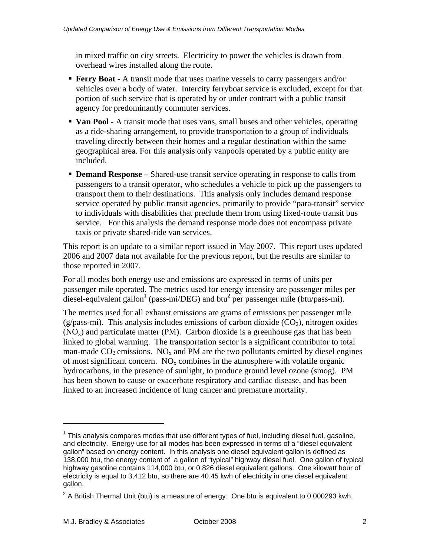in mixed traffic on city streets. Electricity to power the vehicles is drawn from overhead wires installed along the route.

- **Ferry Boat A** transit mode that uses marine vessels to carry passengers and/or vehicles over a body of water. Intercity ferryboat service is excluded, except for that portion of such service that is operated by or under contract with a public transit agency for predominantly commuter services.
- **Van Pool -** A transit mode that uses vans, small buses and other vehicles, operating as a ride-sharing arrangement, to provide transportation to a group of individuals traveling directly between their homes and a regular destination within the same geographical area. For this analysis only vanpools operated by a public entity are included.
- **Demand Response** Shared-use transit service operating in response to calls from passengers to a transit operator, who schedules a vehicle to pick up the passengers to transport them to their destinations. This analysis only includes demand response service operated by public transit agencies, primarily to provide "para-transit" service to individuals with disabilities that preclude them from using fixed-route transit bus service. For this analysis the demand response mode does not encompass private taxis or private shared-ride van services.

This report is an update to a similar report issued in May 2007. This report uses updated 2006 and 2007 data not available for the previous report, but the results are similar to those reported in 2007.

For all modes both energy use and emissions are expressed in terms of units per passenger mile operated. The metrics used for energy intensity are passenger miles per diesel-equivalent gallon<sup>1</sup> (pass-mi/DEG) and btu<sup>2</sup> per passenger mile (btu/pass-mi).

The metrics used for all exhaust emissions are grams of emissions per passenger mile (g/pass-mi). This analysis includes emissions of carbon dioxide  $(CO<sub>2</sub>)$ , nitrogen oxides  $(NO<sub>x</sub>)$  and particulate matter (PM). Carbon dioxide is a greenhouse gas that has been linked to global warming. The transportation sector is a significant contributor to total man-made  $CO_2$  emissions. NO<sub>x</sub> and PM are the two pollutants emitted by diesel engines of most significant concern.  $NO<sub>x</sub>$  combines in the atmosphere with volatile organic hydrocarbons, in the presence of sunlight, to produce ground level ozone (smog). PM has been shown to cause or exacerbate respiratory and cardiac disease, and has been linked to an increased incidence of lung cancer and premature mortality.

1

 $1$  This analysis compares modes that use different types of fuel, including diesel fuel, gasoline, and electricity. Energy use for all modes has been expressed in terms of a "diesel equivalent gallon" based on energy content. In this analysis one diesel equivalent gallon is defined as 138,000 btu, the energy content of a gallon of "typical" highway diesel fuel. One gallon of typical highway gasoline contains 114,000 btu, or 0.826 diesel equivalent gallons. One kilowatt hour of electricity is equal to 3,412 btu, so there are 40.45 kwh of electricity in one diesel equivalent gallon.

<sup>&</sup>lt;sup>2</sup> A British Thermal Unit (btu) is a measure of energy. One btu is equivalent to 0.000293 kwh.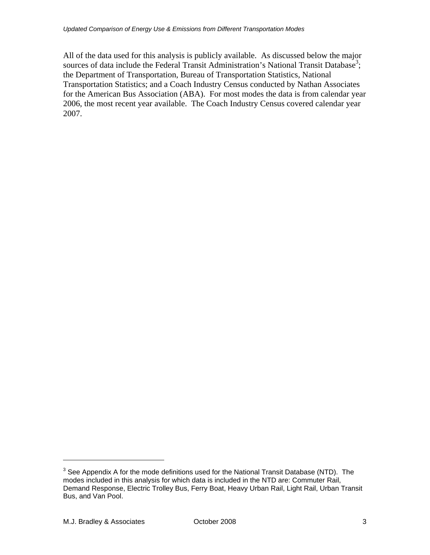All of the data used for this analysis is publicly available. As discussed below the major sources of data include the Federal Transit Administration's National Transit Database<sup>3</sup>; the Department of Transportation, Bureau of Transportation Statistics, National Transportation Statistics; and a Coach Industry Census conducted by Nathan Associates for the American Bus Association (ABA). For most modes the data is from calendar year 2006, the most recent year available. The Coach Industry Census covered calendar year 2007.

1

 $3$  See Appendix A for the mode definitions used for the National Transit Database (NTD). The modes included in this analysis for which data is included in the NTD are: Commuter Rail, Demand Response, Electric Trolley Bus, Ferry Boat, Heavy Urban Rail, Light Rail, Urban Transit Bus, and Van Pool.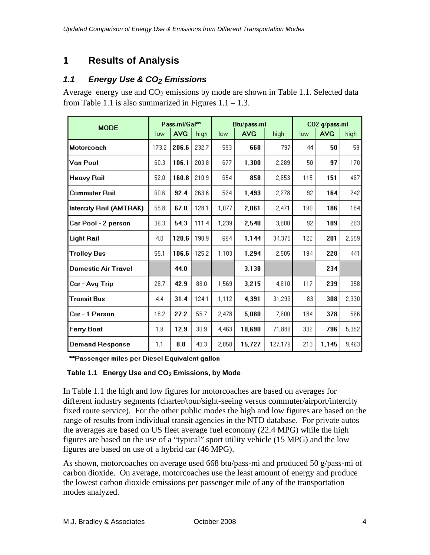# **1 Results of Analysis**

## *1.1 Energy Use & CO2 Emissions*

Average energy use and  $CO<sub>2</sub>$  emissions by mode are shown in Table 1.1. Selected data from Table 1.1 is also summarized in Figures  $1.1 - 1.3$ .

| <b>MODE</b>             | Pass-mi/Gal <sup>**</sup> |            | Btu/pass-mi |       |            | CO2 g/pass-mi |     |            |       |
|-------------------------|---------------------------|------------|-------------|-------|------------|---------------|-----|------------|-------|
|                         | low                       | <b>AVG</b> | high        | low   | <b>AVG</b> | high          | low | <b>AVG</b> | high  |
| Motorcoach              | 173.2                     | 206.6      | 232.7       | 593   | 668        | 797           | 44  | 50         | 59    |
| Van Pool                | 60.3                      | 106.1      | 203.8       | 677   | 1,300      | 2,289         | 50  | 97         | 170   |
| Heavy Rail              | 52.0                      | 160.8      | 210.9       | 654   | 858        | 2,653         | 115 | 151        | 467   |
| Commuter Rail           | 60.6                      | 92.4       | 263.6       | 524   | 1,493      | 2,278         | 92  | 164        | 242   |
| Intercity Rail (AMTRAK) | 55.8                      | 67.0       | 128.1       | 1.077 | 2,061      | 2,471         | 190 | 186        | 184   |
| Car Pool - 2 person     | 36.3                      | 54.3       | 111.4       | 1,239 | 2,540      | 3,800         | 92  | 189        | 283   |
| Light Rail              | 4.0                       | 120.6      | 198.9       | 694   | 1,144      | 34,375        | 122 | 201        | 2,559 |
| <b>Trolley Bus</b>      | 55.1                      | 106.6      | 125.2       | 1,103 | 1,294      | 2,505         | 194 | 228        | 441   |
| Domestic Air Travel     |                           | 44.0       |             |       | 3,138      |               |     | 234        |       |
| Car - Avg Trip          | 28.7                      | 42.9       | 88.0        | 1,569 | 3,215      | 4,810         | 117 | 239        | 358   |
| Transit Bus             | 4.4                       | 31.4       | 124.1       | 1,112 | 4,391      | 31,296        | 83  | 308        | 2,330 |
| Car - 1 Person          | 18.2                      | 27.2       | 55.7        | 2,478 | 5,080      | 7.600         | 184 | 378        | 566   |
| Ferry Boat              | 1.9                       | 12.9       | 30.9        | 4,463 | 10,690     | 71,889        | 332 | 796        | 5,352 |
| <b>Demand Response</b>  | 1.1                       | 8.8        | 48.3        | 2,858 | 15,727     | 127,179       | 213 | 1,145      | 9,463 |

\*\*Passenger miles per Diesel Equivalent gallon

### Table 1.1 Energy Use and CO<sub>2</sub> Emissions, by Mode

In Table 1.1 the high and low figures for motorcoaches are based on averages for different industry segments (charter/tour/sight-seeing versus commuter/airport/intercity fixed route service). For the other public modes the high and low figures are based on the range of results from individual transit agencies in the NTD database. For private autos the averages are based on US fleet average fuel economy (22.4 MPG) while the high figures are based on the use of a "typical" sport utility vehicle (15 MPG) and the low figures are based on use of a hybrid car (46 MPG).

As shown, motorcoaches on average used 668 btu/pass-mi and produced 50 g/pass-mi of carbon dioxide. On average, motorcoaches use the least amount of energy and produce the lowest carbon dioxide emissions per passenger mile of any of the transportation modes analyzed.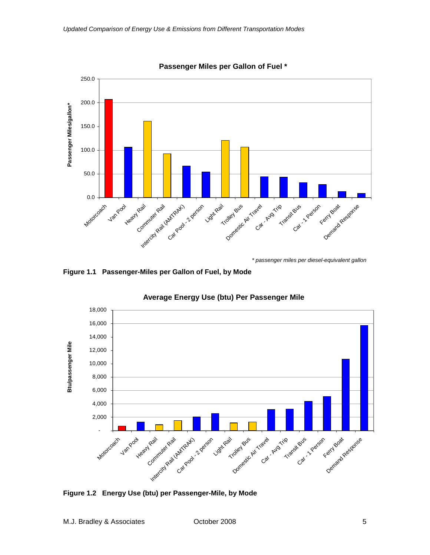

**Passenger Miles per Gallon of Fuel \***

**Figure 1.1 Passenger-Miles per Gallon of Fuel, by Mode** 



## **Average Energy Use (btu) Per Passenger Mile**

**Figure 1.2 Energy Use (btu) per Passenger-Mile, by Mode**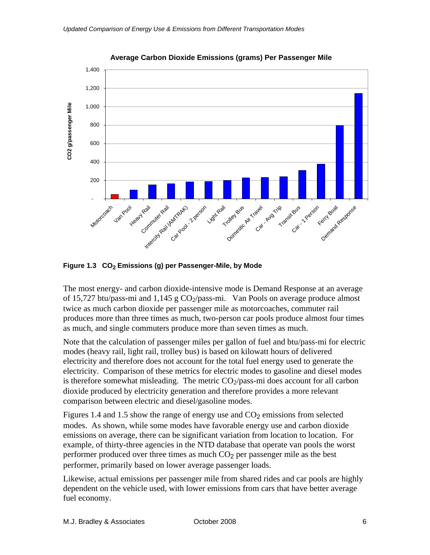

**Average Carbon Dioxide Emissions (grams) Per Passenger Mile**

Figure 1.3 CO<sub>2</sub> Emissions (g) per Passenger-Mile, by Mode

The most energy- and carbon dioxide-intensive mode is Demand Response at an average of 15,727 btu/pass-mi and 1,145 g  $CO_2$ /pass-mi. Van Pools on average produce almost twice as much carbon dioxide per passenger mile as motorcoaches, commuter rail produces more than three times as much, two-person car pools produce almost four times as much, and single commuters produce more than seven times as much.

Note that the calculation of passenger miles per gallon of fuel and btu/pass-mi for electric modes (heavy rail, light rail, trolley bus) is based on kilowatt hours of delivered electricity and therefore does not account for the total fuel energy used to generate the electricity. Comparison of these metrics for electric modes to gasoline and diesel modes is therefore somewhat misleading. The metric  $CO_2$ /pass-mi does account for all carbon dioxide produced by electricity generation and therefore provides a more relevant comparison between electric and diesel/gasoline modes.

Figures 1.4 and 1.5 show the range of energy use and  $CO<sub>2</sub>$  emissions from selected modes. As shown, while some modes have favorable energy use and carbon dioxide emissions on average, there can be significant variation from location to location. For example, of thirty-three agencies in the NTD database that operate van pools the worst performer produced over three times as much  $CO<sub>2</sub>$  per passenger mile as the best performer, primarily based on lower average passenger loads.

Likewise, actual emissions per passenger mile from shared rides and car pools are highly dependent on the vehicle used, with lower emissions from cars that have better average fuel economy.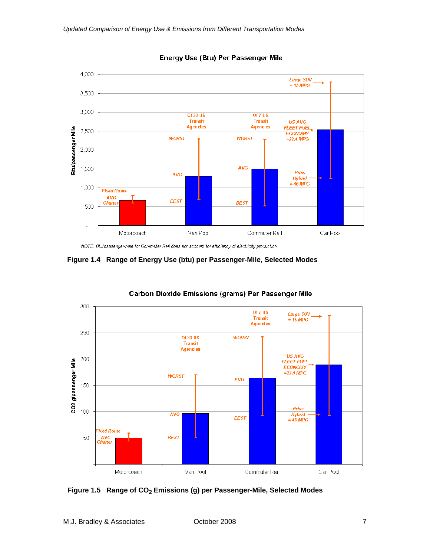

Energy Use (Btu) Per Passenger Mile

**Figure 1.4 Range of Energy Use (btu) per Passenger-Mile, Selected Modes** 



#### **Carbon Dioxide Emissions (grams) Per Passenger Mile**

Figure 1.5 Range of CO<sub>2</sub> Emissions (g) per Passenger-Mile, Selected Modes

NOTE: Btu/passenger-mile for Commuter Rail does not account for efficiency of electricity production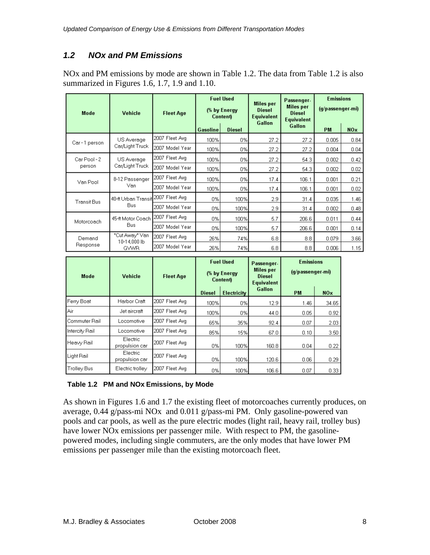## *1.2 NOx and PM Emissions*

NOx and PM emissions by mode are shown in Table 1.2. The data from Table 1.2 is also summarized in Figures 1.6, 1.7, 1.9 and 1.10.

| Mode               | <b>Vehicle</b>                     | <b>Fleet Age</b> |                 | <b>Fuel Used</b><br>(% by Energy<br><b>Content</b> ) | <b>Miles</b> per<br><b>Diesel</b><br><b>Equivalent</b><br>Gallon | Passenger-<br><b>Miles</b> per<br><b>Diesel</b><br><b>Equivalent</b> | <b>Emissions</b><br>(g/passenger-mi) |                 |
|--------------------|------------------------------------|------------------|-----------------|------------------------------------------------------|------------------------------------------------------------------|----------------------------------------------------------------------|--------------------------------------|-----------------|
|                    |                                    |                  | <b>Gasoline</b> | <b>Diesel</b>                                        |                                                                  | Gallon                                                               | <b>PM</b>                            | NO <sub>x</sub> |
| Car-1 person       | US Average                         | 2007 Fleet Avg   | 100%            | 0%                                                   | 27.2                                                             | 27.2                                                                 | 0.005                                | 0.84            |
|                    | Car/Light Truck                    | 2007 Model Year  | 100%            | 0%                                                   | 27.2                                                             | 27.2                                                                 | 0.004                                | 0.04            |
| Car Pool - 2       | US Average<br>Car/Light Truck      | 2007 Fleet Avg   | 100%            | 0%                                                   | 27.2                                                             | 54.3                                                                 | 0.002                                | 0.42            |
| person             |                                    | 2007 Model Year  | 100%            | 0%                                                   | 27.2                                                             | 54.3                                                                 | 0.002                                | 0.02            |
| Van Pool           | 8-12 Passenger<br>Van              | 2007 Fleet Avg   | 100%            | 0%                                                   | 17.4                                                             | 106.1                                                                | 0.001                                | 0.21            |
|                    |                                    | 2007 Model Year  | 100%            | 0%                                                   | 17.4                                                             | 106.1                                                                | 0.001                                | 0.02            |
| <b>Transit Bus</b> | 40-ft Urban Transit 2007 Fleet Avg |                  | 0%              | 100%                                                 | 2.9                                                              | 31.4                                                                 | 0.035                                | 1.46            |
|                    | Bus.                               | 2007 Model Year  | 0%              | 100%                                                 | 2.9                                                              | 31.4                                                                 | 0.002                                | 0.48            |
| Motorcoach         | 45-ft Motor Coach                  | 2007 Fleet Avg   | 0%l             | 100%                                                 | 5.7                                                              | 206.6                                                                | 0.011                                | 0.44            |
|                    | <b>Bus</b>                         | 2007 Model Year  | 0%              | 100%                                                 | 5.7                                                              | 206.6                                                                | 0.001                                | 0.14            |
| Demand             | "Cut Away" Van                     | 2007 Fleet Avg   | 26%             | 74%                                                  | 6.8                                                              | 8.8                                                                  | 0.079                                | 3.66            |
| Response           | 10-14,000 lb<br><b>GVWR</b>        | 2007 Model Year  | 26%             | 74%                                                  | 6.8                                                              | 8.8                                                                  | 0.006                                | 1.15            |

| Mode               | <b>Vehicle</b>             | <b>Fleet Age</b> | <b>Fuel Used</b><br>(% by Energy<br><b>Contenti</b> |             | Passenger-<br><b>Miles</b> per<br><b>Diesel</b><br><b>Equivalent</b> | <b>Emissions</b><br>(g/passenger-mi) |                   |  |
|--------------------|----------------------------|------------------|-----------------------------------------------------|-------------|----------------------------------------------------------------------|--------------------------------------|-------------------|--|
|                    |                            |                  | <b>Diesel</b>                                       | Electricity | Gallon                                                               | <b>PM</b>                            | NO <sub>x</sub>   |  |
| Ferry Boat         | Harbor Craft               | 2007 Fleet Avg   | 100%                                                | 0%          | 12.9                                                                 | 1.46                                 | 34.65             |  |
| Air                | Jet aircraft               | 2007 Fleet Avg   | 100%                                                | 0%          | 44.0                                                                 | 0.05                                 | 0.92              |  |
| Commuter Rail      | Locomotive                 | 2007 Fleet Avg   | 65%                                                 | 35%         | 92.4                                                                 | 0.07                                 | 2.03              |  |
| Intercity Rail     | Locomotive                 | 2007 Fleet Avg   | 85%                                                 | 15%         | 67.0                                                                 | 0.10                                 | 3.50              |  |
| Heavy Rail         | Electric<br>propulsion car | 2007 Fleet Avg   | 0%                                                  | 100%        | 160.8                                                                | 0.04                                 | 0.22              |  |
| Light Rail         | Electric<br>propulsion car | 2007 Fleet Avg   | 0%                                                  | 100%        | 120.6                                                                | 0.06                                 | 0.29              |  |
| <b>Trolley Bus</b> | Electric trolley           | 2007 Fleet Avg   | 0%                                                  | 100%        | 106.6                                                                | 0.07                                 | 0.33 <sub>1</sub> |  |

### **Table 1.2 PM and NOx Emissions, by Mode**

As shown in Figures 1.6 and 1.7 the existing fleet of motorcoaches currently produces, on average, 0.44 g/pass-mi NOx and 0.011 g/pass-mi PM. Only gasoline-powered van pools and car pools, as well as the pure electric modes (light rail, heavy rail, trolley bus) have lower NOx emissions per passenger mile. With respect to PM, the gasolinepowered modes, including single commuters, are the only modes that have lower PM emissions per passenger mile than the existing motorcoach fleet.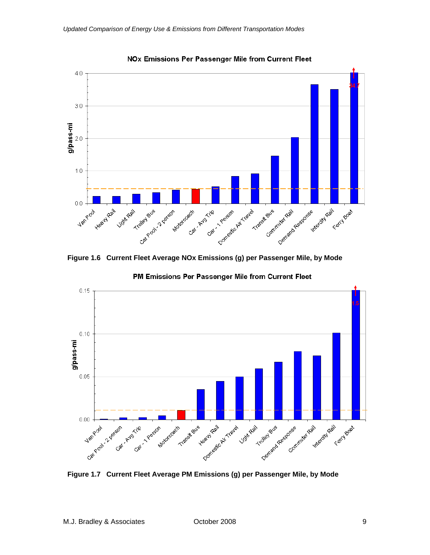

**NOx Emissions Per Passenger Mile from Current Fleet** 

**Figure 1.6 Current Fleet Average NOx Emissions (g) per Passenger Mile, by Mode** 





**Figure 1.7 Current Fleet Average PM Emissions (g) per Passenger Mile, by Mode**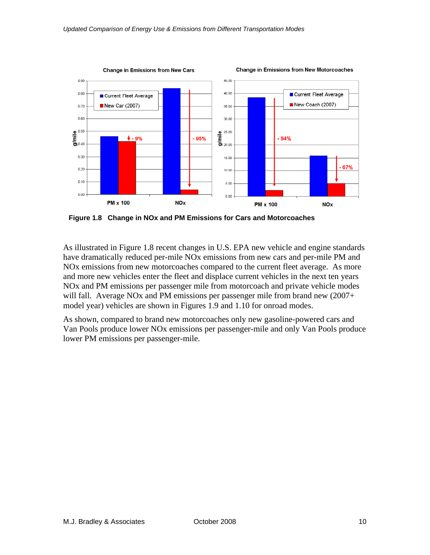

**Figure 1.8 Change in NOx and PM Emissions for Cars and Motorcoaches**

As illustrated in Figure 1.8 recent changes in U.S. EPA new vehicle and engine standards have dramatically reduced per-mile NOx emissions from new cars and per-mile PM and NOx emissions from new motorcoaches compared to the current fleet average. As more and more new vehicles enter the fleet and displace current vehicles in the next ten years NOx and PM emissions per passenger mile from motorcoach and private vehicle modes will fall. Average NOx and PM emissions per passenger mile from brand new (2007+ model year) vehicles are shown in Figures 1.9 and 1.10 for onroad modes.

As shown, compared to brand new motorcoaches only new gasoline-powered cars and Van Pools produce lower NOx emissions per passenger-mile and only Van Pools produce lower PM emissions per passenger-mile.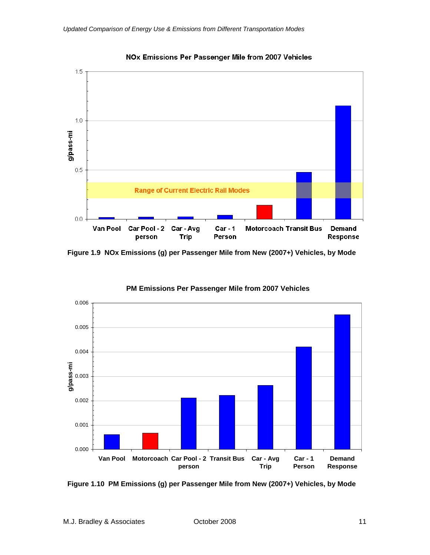

NOx Emissions Per Passenger Mile from 2007 Vehicles

**Figure 1.9 NOx Emissions (g) per Passenger Mile from New (2007+) Vehicles, by Mode** 



**PM Emissions Per Passenger Mile from 2007 Vehicles**

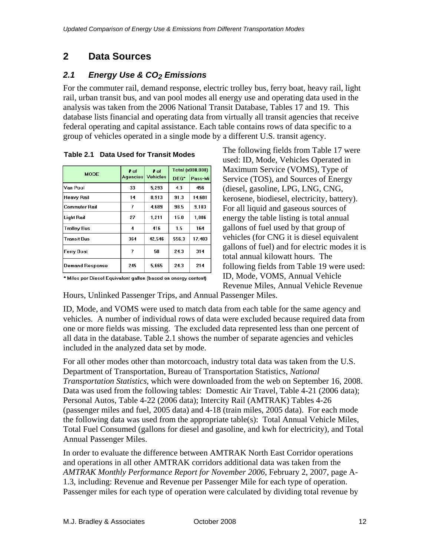# **2 Data Sources**

## *2.1 Energy Use & CO2 Emissions*

For the commuter rail, demand response, electric trolley bus, ferry boat, heavy rail, light rail, urban transit bus, and van pool modes all energy use and operating data used in the analysis was taken from the 2006 National Transit Database, Tables 17 and 19. This database lists financial and operating data from virtually all transit agencies that receive federal operating and capital assistance. Each table contains rows of data specific to a group of vehicles operated in a single mode by a different U.S. transit agency.

|                        | $\mathbf{r}$ of                    | $\pm$ of | Total (x000,000) |         |  |
|------------------------|------------------------------------|----------|------------------|---------|--|
| <b>MODE</b>            | <b>Vehicles</b><br><b>Agencies</b> |          | DEG*             | Pass-Mi |  |
| Van Pool               | 33                                 | 5,293    | 4.3              | 456     |  |
| Heavy Rail             | 14                                 | 8.913    | 91.3             | 14.681  |  |
| Commuter Rail          | 7                                  | 4.689    | 98.5             | 9.103   |  |
| Light Rail             | 27                                 | 1,211    | 15.0             | 1,806   |  |
| <b>Trolley Bus</b>     | 4                                  | 416      | 1.5              | 164     |  |
| Transit Bus            | 364                                | 42.546   | 556.3            | 17.483  |  |
| Ferry Boat             | 7                                  | 58       | 24.3             | 314     |  |
| <b>Demand Response</b> | 245                                | 5,665    | 24.3             | 214     |  |

 **Table 2.1 Data Used for Transit Modes** 

\* Miles per Diesel Equivalent gallon (based on energy content)

The following fields from Table 17 were used: ID, Mode, Vehicles Operated in Maximum Service (VOMS), Type of Service (TOS), and Sources of Energy (diesel, gasoline, LPG, LNG, CNG, kerosene, biodiesel, electricity, battery). For all liquid and gaseous sources of energy the table listing is total annual gallons of fuel used by that group of vehicles (for CNG it is diesel equivalent gallons of fuel) and for electric modes it is total annual kilowatt hours. The following fields from Table 19 were used: ID, Mode, VOMS, Annual Vehicle Revenue Miles, Annual Vehicle Revenue

Hours, Unlinked Passenger Trips, and Annual Passenger Miles.

ID, Mode, and VOMS were used to match data from each table for the same agency and vehicles. A number of individual rows of data were excluded because required data from one or more fields was missing. The excluded data represented less than one percent of all data in the database. Table 2.1 shows the number of separate agencies and vehicles included in the analyzed data set by mode.

For all other modes other than motorcoach, industry total data was taken from the U.S. Department of Transportation, Bureau of Transportation Statistics, *National Transportation Statistics*, which were downloaded from the web on September 16, 2008. Data was used from the following tables: Domestic Air Travel, Table 4-21 (2006 data); Personal Autos, Table 4-22 (2006 data); Intercity Rail (AMTRAK) Tables 4-26 (passenger miles and fuel, 2005 data) and 4-18 (train miles, 2005 data). For each mode the following data was used from the appropriate table(s): Total Annual Vehicle Miles, Total Fuel Consumed (gallons for diesel and gasoline, and kwh for electricity), and Total Annual Passenger Miles.

In order to evaluate the difference between AMTRAK North East Corridor operations and operations in all other AMTRAK corridors additional data was taken from the *AMTRAK Monthly Performance Report for November 2006*, February 2, 2007, page A-1.3, including: Revenue and Revenue per Passenger Mile for each type of operation. Passenger miles for each type of operation were calculated by dividing total revenue by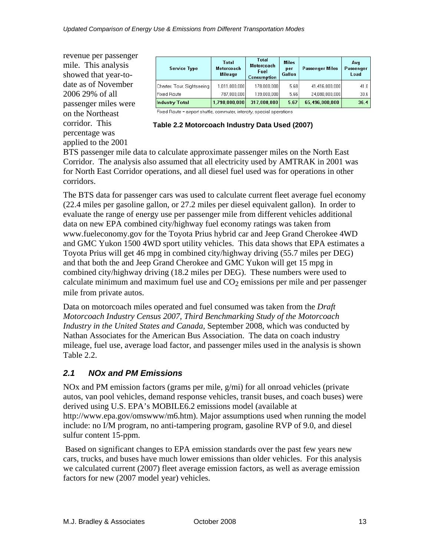revenue per passenger mile. This analysis showed that year-todate as of November 2006 29% of all passenger miles were on the Northeast corridor. This percentage was applied to the 2001

| <b>Service Type</b>        | <b>Total</b><br><b>Motorcoach</b><br>Mileage | Total<br>Motorcoach<br>Fuel<br><b>Consumption</b> | <b>Miles</b><br>per<br>Gallon | <b>Passenger Miles</b> | Avq<br>Passenger<br>Load |
|----------------------------|----------------------------------------------|---------------------------------------------------|-------------------------------|------------------------|--------------------------|
| Charter, Tour, Sightseeing | 1,011,000,000                                | 178,000,000                                       | 5.68                          | 41,416,000,000         | 41.0                     |
| l Fixed Route              | 787.000.000                                  | 139.000.000                                       | 5.66                          | 24.080.000.000         | 30.6                     |
| <b>Industry Total</b>      | 1,798,000,000                                | 317,000,000                                       | 5.67                          | 65,496,000,000         | 36.4                     |

Fixed Route = airport shuttle, commuter, intercity, special operations

| Table 2.2 Motorcoach Industry Data Used (2007) |  |
|------------------------------------------------|--|
|------------------------------------------------|--|

BTS passenger mile data to calculate approximate passenger miles on the North East Corridor. The analysis also assumed that all electricity used by AMTRAK in 2001 was for North East Corridor operations, and all diesel fuel used was for operations in other corridors.

The BTS data for passenger cars was used to calculate current fleet average fuel economy (22.4 miles per gasoline gallon, or 27.2 miles per diesel equivalent gallon). In order to evaluate the range of energy use per passenger mile from different vehicles additional data on new EPA combined city/highway fuel economy ratings was taken from www.fueleconomy.gov for the Toyota Prius hybrid car and Jeep Grand Cherokee 4WD and GMC Yukon 1500 4WD sport utility vehicles. This data shows that EPA estimates a Toyota Prius will get 46 mpg in combined city/highway driving (55.7 miles per DEG) and that both the and Jeep Grand Cherokee and GMC Yukon will get 15 mpg in combined city/highway driving (18.2 miles per DEG). These numbers were used to calculate minimum and maximum fuel use and  $CO<sub>2</sub>$  emissions per mile and per passenger mile from private autos.

Data on motorcoach miles operated and fuel consumed was taken from the *Draft Motorcoach Industry Census 2007, Third Benchmarking Study of the Motorcoach Industry in the United States and Canada,* September 2008*,* which was conducted by Nathan Associates for the American Bus Association. The data on coach industry mileage, fuel use, average load factor, and passenger miles used in the analysis is shown Table 2.2.

## *2.1 NOx and PM Emissions*

NOx and PM emission factors (grams per mile, g/mi) for all onroad vehicles (private autos, van pool vehicles, demand response vehicles, transit buses, and coach buses) were derived using U.S. EPA's MOBILE6.2 emissions model (available at http://www.epa.gov/omswww/m6.htm). Major assumptions used when running the model include: no I/M program, no anti-tampering program, gasoline RVP of 9.0, and diesel sulfur content 15-ppm.

 Based on significant changes to EPA emission standards over the past few years new cars, trucks, and buses have much lower emissions than older vehicles. For this analysis we calculated current (2007) fleet average emission factors, as well as average emission factors for new (2007 model year) vehicles.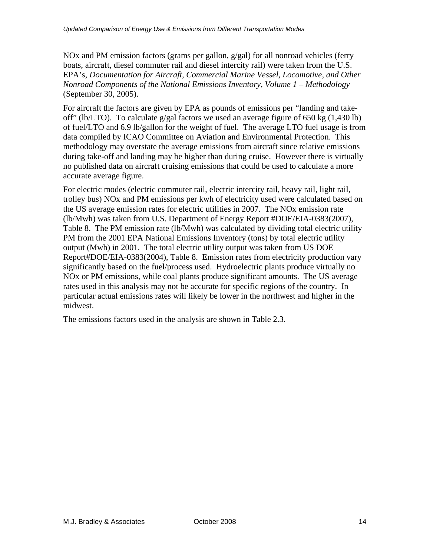NOx and PM emission factors (grams per gallon, g/gal) for all nonroad vehicles (ferry boats, aircraft, diesel commuter rail and diesel intercity rail) were taken from the U.S. EPA's, *Documentation for Aircraft, Commercial Marine Vessel, Locomotive, and Other Nonroad Components of the National Emissions Inventory, Volume 1 – Methodology* (September 30, 2005).

For aircraft the factors are given by EPA as pounds of emissions per "landing and takeoff" (lb/LTO). To calculate  $g/gal$  factors we used an average figure of 650 kg (1,430 lb) of fuel/LTO and 6.9 lb/gallon for the weight of fuel. The average LTO fuel usage is from data compiled by ICAO Committee on Aviation and Environmental Protection. This methodology may overstate the average emissions from aircraft since relative emissions during take-off and landing may be higher than during cruise. However there is virtually no published data on aircraft cruising emissions that could be used to calculate a more accurate average figure.

For electric modes (electric commuter rail, electric intercity rail, heavy rail, light rail, trolley bus) NOx and PM emissions per kwh of electricity used were calculated based on the US average emission rates for electric utilities in 2007. The NOx emission rate (lb/Mwh) was taken from U.S. Department of Energy Report #DOE/EIA-0383(2007), Table 8. The PM emission rate (lb/Mwh) was calculated by dividing total electric utility PM from the 2001 EPA National Emissions Inventory (tons) by total electric utility output (Mwh) in 2001. The total electric utility output was taken from US DOE Report#DOE/EIA-0383(2004), Table 8. Emission rates from electricity production vary significantly based on the fuel/process used. Hydroelectric plants produce virtually no NOx or PM emissions, while coal plants produce significant amounts. The US average rates used in this analysis may not be accurate for specific regions of the country. In particular actual emissions rates will likely be lower in the northwest and higher in the midwest.

The emissions factors used in the analysis are shown in Table 2.3.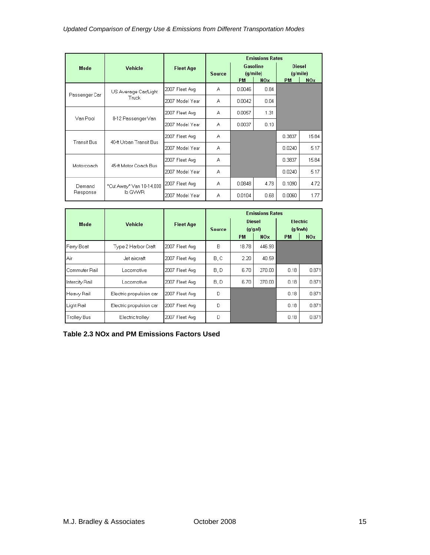|                    |                          |                  | <b>Emissions Rates</b> |           |                                                |           |                                              |  |
|--------------------|--------------------------|------------------|------------------------|-----------|------------------------------------------------|-----------|----------------------------------------------|--|
| Mode               | Vehicle                  | <b>Fleet Age</b> | <b>Source</b>          | <b>PM</b> | <b>Gasoline</b><br>(q/mile)<br>NO <sub>x</sub> | <b>PM</b> | <b>Diesel</b><br>(q/mile)<br>NO <sub>x</sub> |  |
|                    | US Average Car/Light     | 2007 Fleet Avg   | А                      | 0.0046    | 0.84                                           |           |                                              |  |
| Passenger Car      | Truck                    | 2007 Model Year  | А                      | 0.0042    | 0.04                                           |           |                                              |  |
| Van Pool           | 8-12 Passenger Van       | 2007 Fleet Avg   | А                      | 0.0057    | 1.31                                           |           |                                              |  |
|                    |                          | 2007 Model Year  | А                      | 0.0037    | 0.10                                           |           |                                              |  |
| <b>Transit Bus</b> | 40-ft Urban Transit Bus  | 2007 Fleet Avg   | А                      |           |                                                | 0.3837    | 15.84                                        |  |
|                    |                          | 2007 Model Year  | А                      |           |                                                | 0.0240    | 5.17                                         |  |
| Motorcoach         | 45-ft Motor Coach Bus    | 2007 Fleet Avg   | А                      |           |                                                | 0.3837    | 15.84                                        |  |
|                    |                          | 2007 Model Year  | А                      |           |                                                | 0.0240    | 5.17                                         |  |
| Demand             | "Cut Away" Van 10-14,000 | 2007 Fleet Avg   | А                      | 0.0848    | 4.78                                           | 0.1090    | 4.72                                         |  |
| Response           | lb GVWR                  | 2007 Model Year  | А                      | 0.0104    | 0.68                                           | 0.0060    | 1.77                                         |  |

|                |                         |                  | <b>Emissions Rates</b> |       |                          |                            |            |  |
|----------------|-------------------------|------------------|------------------------|-------|--------------------------|----------------------------|------------|--|
| Mode           | Vehicle                 | <b>Fleet Age</b> | <b>Source</b>          |       | <b>Diesel</b><br>(g/gal) | <b>Electric</b><br>(q/kwh) |            |  |
|                |                         |                  |                        | PM    | <b>NOx</b>               | <b>PM</b>                  | <b>NOx</b> |  |
| Ferry Boat     | Type 2 Harbor Craft     | 2007 Fleet Avg   | B                      | 18.78 | 446.93                   |                            |            |  |
| lAir           | Jet aircraft            | 2007 Fleet Avg   | B.C                    | 2.20  | 40.59                    |                            |            |  |
| Commuter Rail  | Locomotive              | 2007 Fleet Avg   | B, D                   | 6.70  | 270.00                   | 0.18                       | 0.871      |  |
| Intercity Rail | Locomotive              | 2007 Fleet Avg   | B, D                   | 6.70  | 270.00                   | 0.18                       | 0.871      |  |
| Heavy Rail     | Electric propulsion car | 2007 Fleet Avg   | D                      |       |                          | 0.18                       | 0.871      |  |
| Light Rail     | Electric propulsion car | 2007 Fleet Avg   | D                      |       |                          | 0.18                       | 0.871      |  |
| Trolley Bus    | Electric trolley        | 2007 Fleet Avg   | D                      |       |                          | 0.18                       | 0.871      |  |

**Table 2.3 NOx and PM Emissions Factors Used**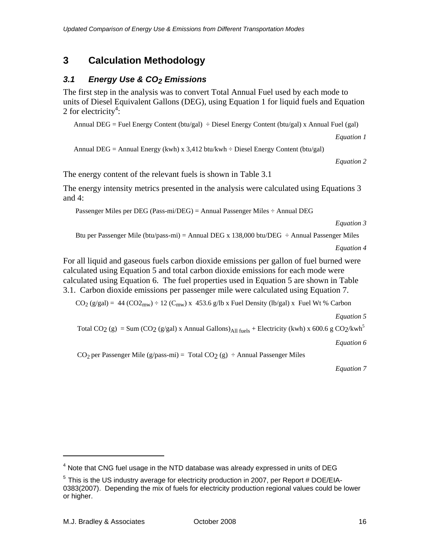## **3 Calculation Methodology**

## *3.1 Energy Use & CO2 Emissions*

The first step in the analysis was to convert Total Annual Fuel used by each mode to units of Diesel Equivalent Gallons (DEG), using Equation 1 for liquid fuels and Equation 2 for electricity<sup>4</sup>:

Annual DEG = Fuel Energy Content ( $btu/gal$ ) ÷ Diesel Energy Content ( $btu/gal$ ) x Annual Fuel (gal)

*Equation 1* 

Annual DEG = Annual Energy (kwh) x  $3,412$  btu/kwh  $\div$  Diesel Energy Content (btu/gal)

*Equation 2* 

The energy content of the relevant fuels is shown in Table 3.1

The energy intensity metrics presented in the analysis were calculated using Equations 3 and 4:

Passenger Miles per DEG (Pass-mi/DEG) = Annual Passenger Miles ÷ Annual DEG

*Equation 3* 

Btu per Passenger Mile (btu/pass-mi) = Annual DEG x 138,000 btu/DEG  $\div$  Annual Passenger Miles

*Equation 4*

For all liquid and gaseous fuels carbon dioxide emissions per gallon of fuel burned were calculated using Equation 5 and total carbon dioxide emissions for each mode were calculated using Equation 6. The fuel properties used in Equation 5 are shown in Table 3.1. Carbon dioxide emissions per passenger mile were calculated using Equation 7.

 $CO<sub>2</sub> (g/gal) = 44 (CO<sub>2</sub>) + 12 (C<sub>mw</sub>) x 453.6 g/lb x Fuel Density (lb/gal) x Fuel Wt % Carbon$ 

*Equation 5*

Total CO<sub>2</sub> (g) = Sum (CO<sub>2</sub> (g/gal) x Annual Gallons)<sub>All fuels</sub> + Electricity (kwh) x 600.6 g CO<sub>2</sub>/kwh<sup>5</sup>

*Equation 6*

 $CO<sub>2</sub>$  per Passenger Mile (g/pass-mi) = Total  $CO<sub>2</sub>$  (g)  $\div$  Annual Passenger Miles

*Equation 7* 

 $\overline{a}$ 

 $<sup>4</sup>$  Note that CNG fuel usage in the NTD database was already expressed in units of DEG</sup>

 $^5$  This is the US industry average for electricity production in 2007, per Report # DOE/EIA-0383(2007). Depending the mix of fuels for electricity production regional values could be lower or higher.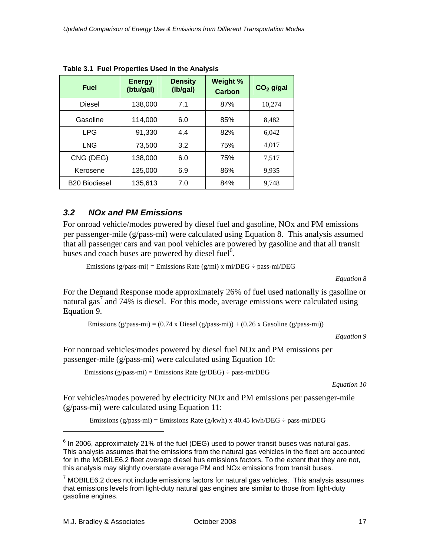| <b>Fuel</b>          | <b>Energy</b><br>(btu/gal) | <b>Density</b><br>(Ib/gal) | Weight %<br><b>Carbon</b> | $CO2$ g/gal |
|----------------------|----------------------------|----------------------------|---------------------------|-------------|
| <b>Diesel</b>        | 138,000                    | 7.1                        | 87%                       | 10,274      |
| Gasoline             | 114,000                    | 6.0                        | 85%                       | 8,482       |
| <b>LPG</b>           | 91,330                     | 4.4                        | 82%                       | 6,042       |
| <b>LNG</b>           | 73,500                     | 3.2                        | 75%                       | 4,017       |
| CNG (DEG)            | 138,000                    | 6.0                        | 75%                       | 7,517       |
| Kerosene             | 135,000                    | 6.9                        | 86%                       | 9,935       |
| <b>B20 Biodiesel</b> | 135,613                    | 7.0                        | 84%                       | 9,748       |

**Table 3.1 Fuel Properties Used in the Analysis** 

## *3.2 NOx and PM Emissions*

For onroad vehicle/modes powered by diesel fuel and gasoline, NOx and PM emissions per passenger-mile (g/pass-mi) were calculated using Equation 8. This analysis assumed that all passenger cars and van pool vehicles are powered by gasoline and that all transit buses and coach buses are powered by diesel fuel<sup>6</sup>.

Emissions (g/pass-mi) = Emissions Rate (g/mi) x mi/DEG  $\div$  pass-mi/DEG

*Equation 8* 

For the Demand Response mode approximately 26% of fuel used nationally is gasoline or natural gas<sup>7</sup> and 74% is diesel. For this mode, average emissions were calculated using Equation 9.

Emissions (g/pass-mi) =  $(0.74 \times \text{Diesel (g/pass-mi)}) + (0.26 \times \text{Gasoline (g/pass-mi)})$ 

*Equation 9* 

For nonroad vehicles/modes powered by diesel fuel NOx and PM emissions per passenger-mile (g/pass-mi) were calculated using Equation 10:

Emissions (g/pass-mi) = Emissions Rate (g/DEG)  $\div$  pass-mi/DEG

*Equation 10* 

For vehicles/modes powered by electricity NOx and PM emissions per passenger-mile (g/pass-mi) were calculated using Equation 11:

Emissions (g/pass-mi) = Emissions Rate (g/kwh) x 40.45 kwh/DEG  $\div$  pass-mi/DEG

1

 $^6$  In 2006, approximately 21% of the fuel (DEG) used to power transit buses was natural gas. This analysis assumes that the emissions from the natural gas vehicles in the fleet are accounted for in the MOBILE6.2 fleet average diesel bus emissions factors. To the extent that they are not, this analysis may slightly overstate average PM and NOx emissions from transit buses.

 $7$  MOBILE6.2 does not include emissions factors for natural gas vehicles. This analysis assumes that emissions levels from light-duty natural gas engines are similar to those from light-duty gasoline engines.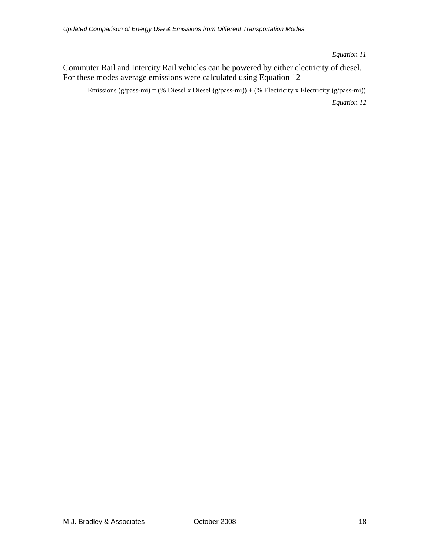*Equation 11* 

Commuter Rail and Intercity Rail vehicles can be powered by either electricity of diesel. For these modes average emissions were calculated using Equation 12

Emissions (g/pass-mi) = (% Diesel x Diesel (g/pass-mi)) + (% Electricity x Electricity (g/pass-mi))

*Equation 12*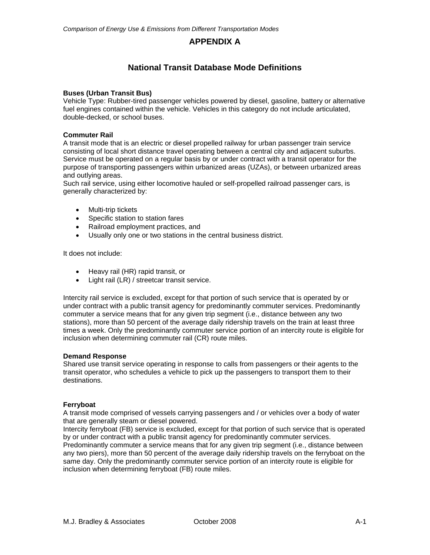## **APPENDIX A**

## **National Transit Database Mode Definitions**

#### **Buses (Urban Transit Bus)**

Vehicle Type: Rubber-tired passenger vehicles powered by diesel, gasoline, battery or alternative fuel engines contained within the vehicle. Vehicles in this category do not include articulated, double-decked, or school buses.

#### **Commuter Rail**

A transit mode that is an electric or diesel propelled railway for urban passenger train service consisting of local short distance travel operating between a central city and adjacent suburbs. Service must be operated on a regular basis by or under contract with a transit operator for the purpose of transporting passengers within urbanized areas (UZAs), or between urbanized areas and outlying areas.

Such rail service, using either locomotive hauled or self-propelled railroad passenger cars, is generally characterized by:

- Multi-trip tickets
- Specific station to station fares
- Railroad employment practices, and
- Usually only one or two stations in the central business district.

It does not include:

- Heavy rail (HR) rapid transit, or
- Light rail (LR) / streetcar transit service.

Intercity rail service is excluded, except for that portion of such service that is operated by or under contract with a public transit agency for predominantly commuter services. Predominantly commuter a service means that for any given trip segment (i.e., distance between any two stations), more than 50 percent of the average daily ridership travels on the train at least three times a week. Only the predominantly commuter service portion of an intercity route is eligible for inclusion when determining commuter rail (CR) route miles.

#### **Demand Response**

Shared use transit service operating in response to calls from passengers or their agents to the transit operator, who schedules a vehicle to pick up the passengers to transport them to their destinations.

#### **Ferryboat**

A transit mode comprised of vessels carrying passengers and / or vehicles over a body of water that are generally steam or diesel powered.

Intercity ferryboat (FB) service is excluded, except for that portion of such service that is operated by or under contract with a public transit agency for predominantly commuter services. Predominantly commuter a service means that for any given trip segment (i.e., distance between any two piers), more than 50 percent of the average daily ridership travels on the ferryboat on the same day. Only the predominantly commuter service portion of an intercity route is eligible for inclusion when determining ferryboat (FB) route miles.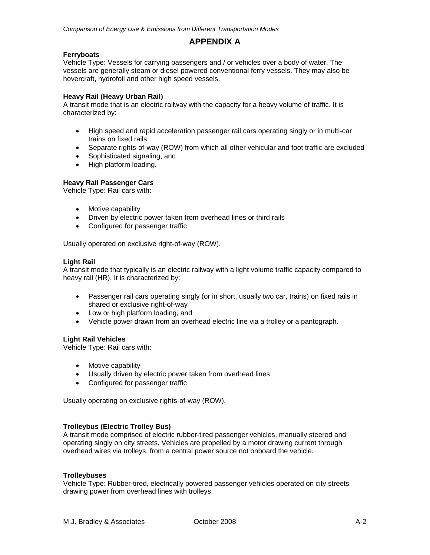## **APPENDIX A**

#### **Ferryboats**

Vehicle Type: Vessels for carrying passengers and / or vehicles over a body of water. The vessels are generally steam or diesel powered conventional ferry vessels. They may also be hovercraft, hydrofoil and other high speed vessels.

#### **Heavy Rail (Heavy Urban Rail)**

A transit mode that is an electric railway with the capacity for a heavy volume of traffic. It is characterized by:

- High speed and rapid acceleration passenger rail cars operating singly or in multi-car trains on fixed rails
- Separate rights-of-way (ROW) from which all other vehicular and foot traffic are excluded
- Sophisticated signaling, and
- High platform loading.

#### **Heavy Rail Passenger Cars**

Vehicle Type: Rail cars with:

- Motive capability
- Driven by electric power taken from overhead lines or third rails
- Configured for passenger traffic

Usually operated on exclusive right-of-way (ROW).

#### **Light Rail**

A transit mode that typically is an electric railway with a light volume traffic capacity compared to heavy rail (HR). It is characterized by:

- Passenger rail cars operating singly (or in short, usually two car, trains) on fixed rails in shared or exclusive right-of-way
- Low or high platform loading, and
- Vehicle power drawn from an overhead electric line via a trolley or a pantograph.

#### **Light Rail Vehicles**

Vehicle Type: Rail cars with:

- Motive capability
- Usually driven by electric power taken from overhead lines
- Configured for passenger traffic

Usually operating on exclusive rights-of-way (ROW).

#### **Trolleybus (Electric Trolley Bus)**

A transit mode comprised of electric rubber-tired passenger vehicles, manually steered and operating singly on city streets. Vehicles are propelled by a motor drawing current through overhead wires via trolleys, from a central power source not onboard the vehicle.

#### **Trolleybuses**

Vehicle Type: Rubber-tired, electrically powered passenger vehicles operated on city streets drawing power from overhead lines with trolleys.